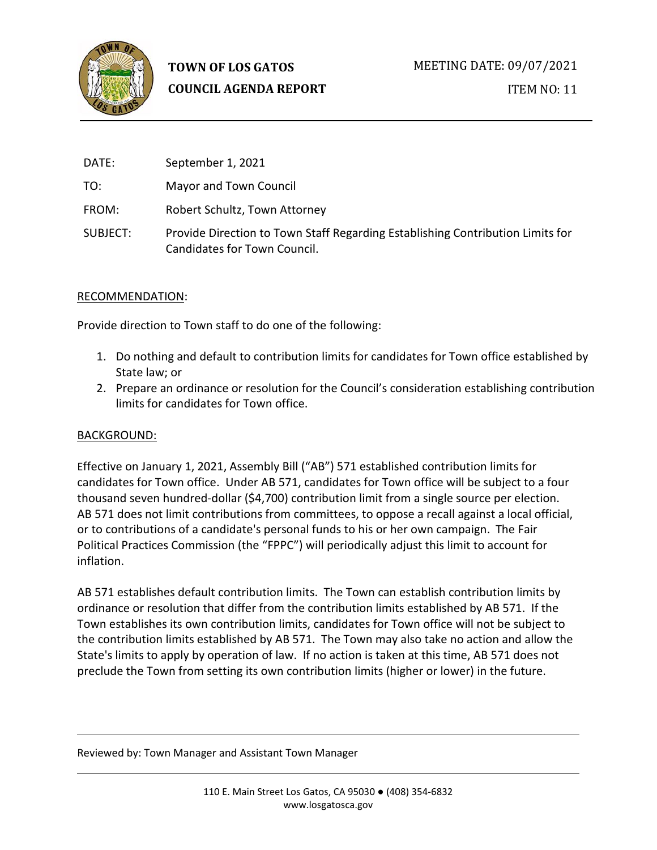

ITEM NO: 11

| DATE:    | September 1, 2021                                                                                              |
|----------|----------------------------------------------------------------------------------------------------------------|
| TO:      | Mayor and Town Council                                                                                         |
| FROM:    | Robert Schultz, Town Attorney                                                                                  |
| SUBJECT: | Provide Direction to Town Staff Regarding Establishing Contribution Limits for<br>Candidates for Town Council. |

### RECOMMENDATION:

Provide direction to Town staff to do one of the following:

- 1. Do nothing and default to contribution limits for candidates for Town office established by State law; or
- 2. Prepare an ordinance or resolution for the Council's consideration establishing contribution limits for candidates for Town office.

### BACKGROUND:

Effective on January 1, 2021, Assembly Bill ("AB") 571 established contribution limits for candidates for Town office. Under AB 571, candidates for Town office will be subject to a four thousand seven hundred-dollar (\$4,700) contribution limit from a single source per election. AB 571 does not limit contributions from committees, to oppose a recall against a local official, or to contributions of a candidate's personal funds to his or her own campaign. The Fair Political Practices Commission (the "FPPC") will periodically adjust this limit to account for inflation.

AB 571 establishes default contribution limits. The Town can establish contribution limits by ordinance or resolution that differ from the contribution limits established by AB 571. If the Town establishes its own contribution limits, candidates for Town office will not be subject to the contribution limits established by AB 571. The Town may also take no action and allow the State's limits to apply by operation of law. If no action is taken at this time, AB 571 does not preclude the Town from setting its own contribution limits (higher or lower) in the future.

#### Reviewed by: Town Manager and Assistant Town Manager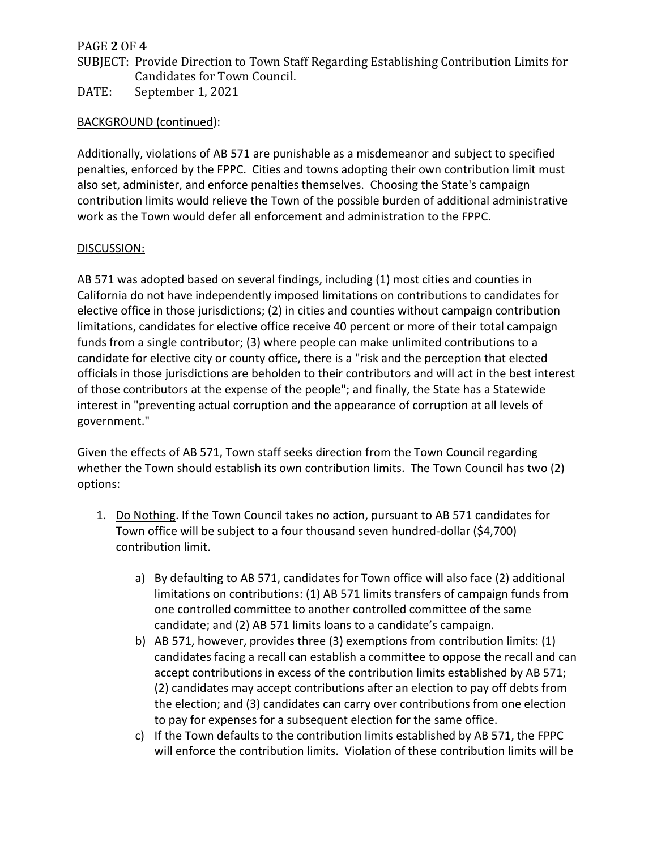## PAGE **2** OF **4**

SUBJECT: Provide Direction to Town Staff Regarding Establishing Contribution Limits for Candidates for Town Council.

DATE: September 1, 2021

## BACKGROUND (continued):

Additionally, violations of AB 571 are punishable as a misdemeanor and subject to specified penalties, enforced by the FPPC. Cities and towns adopting their own contribution limit must also set, administer, and enforce penalties themselves. Choosing the State's campaign contribution limits would relieve the Town of the possible burden of additional administrative work as the Town would defer all enforcement and administration to the FPPC.

### DISCUSSION:

AB 571 was adopted based on several findings, including (1) most cities and counties in California do not have independently imposed limitations on contributions to candidates for elective office in those jurisdictions; (2) in cities and counties without campaign contribution limitations, candidates for elective office receive 40 percent or more of their total campaign funds from a single contributor; (3) where people can make unlimited contributions to a candidate for elective city or county office, there is a "risk and the perception that elected officials in those jurisdictions are beholden to their contributors and will act in the best interest of those contributors at the expense of the people"; and finally, the State has a Statewide interest in "preventing actual corruption and the appearance of corruption at all levels of government."

Given the effects of AB 571, Town staff seeks direction from the Town Council regarding whether the Town should establish its own contribution limits. The Town Council has two (2) options:

- 1. Do Nothing. If the Town Council takes no action, pursuant to AB 571 candidates for Town office will be subject to a four thousand seven hundred-dollar (\$4,700) contribution limit.
	- a) By defaulting to AB 571, candidates for Town office will also face (2) additional limitations on contributions: (1) AB 571 limits transfers of campaign funds from one controlled committee to another controlled committee of the same candidate; and (2) AB 571 limits loans to a candidate's campaign.
	- b) AB 571, however, provides three (3) exemptions from contribution limits: (1) candidates facing a recall can establish a committee to oppose the recall and can accept contributions in excess of the contribution limits established by AB 571; (2) candidates may accept contributions after an election to pay off debts from the election; and (3) candidates can carry over contributions from one election to pay for expenses for a subsequent election for the same office.
	- c) If the Town defaults to the contribution limits established by AB 571, the FPPC will enforce the contribution limits. Violation of these contribution limits will be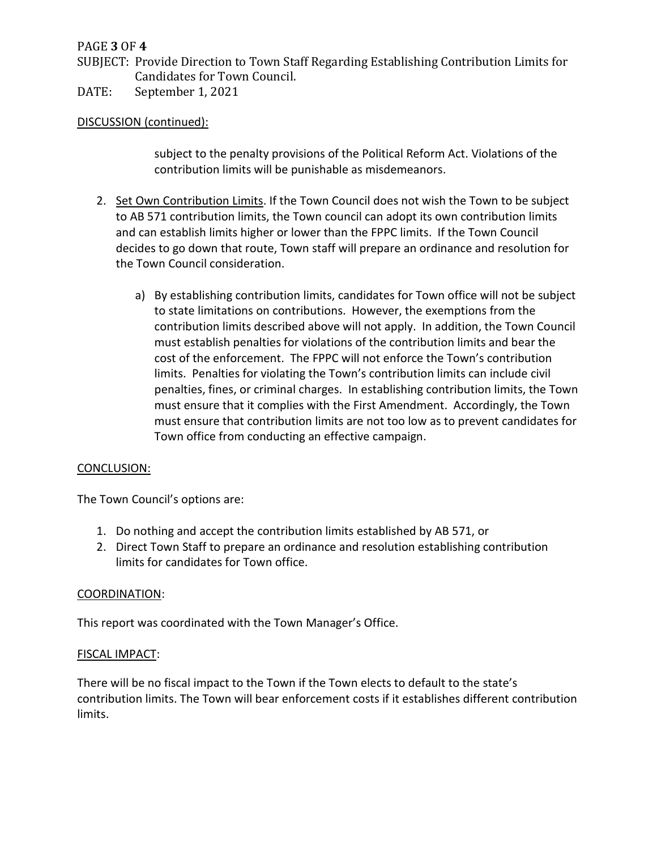## PAGE **3** OF **4**

SUBJECT: Provide Direction to Town Staff Regarding Establishing Contribution Limits for Candidates for Town Council.

DATE: September 1, 2021

### DISCUSSION (continued):

subject to the penalty provisions of the Political Reform Act. Violations of the contribution limits will be punishable as misdemeanors.

- 2. Set Own Contribution Limits. If the Town Council does not wish the Town to be subject to AB 571 contribution limits, the Town council can adopt its own contribution limits and can establish limits higher or lower than the FPPC limits. If the Town Council decides to go down that route, Town staff will prepare an ordinance and resolution for the Town Council consideration.
	- a) By establishing contribution limits, candidates for Town office will not be subject to state limitations on contributions. However, the exemptions from the contribution limits described above will not apply. In addition, the Town Council must establish penalties for violations of the contribution limits and bear the cost of the enforcement. The FPPC will not enforce the Town's contribution limits. Penalties for violating the Town's contribution limits can include civil penalties, fines, or criminal charges. In establishing contribution limits, the Town must ensure that it complies with the First Amendment. Accordingly, the Town must ensure that contribution limits are not too low as to prevent candidates for Town office from conducting an effective campaign.

### CONCLUSION:

The Town Council's options are:

- 1. Do nothing and accept the contribution limits established by AB 571, or
- 2. Direct Town Staff to prepare an ordinance and resolution establishing contribution limits for candidates for Town office.

### COORDINATION:

This report was coordinated with the Town Manager's Office.

### FISCAL IMPACT:

There will be no fiscal impact to the Town if the Town elects to default to the state's contribution limits. The Town will bear enforcement costs if it establishes different contribution limits.